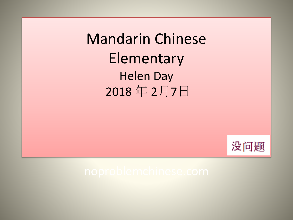Mandarin Chinese Elementary Helen Day 2018 年 2月7日

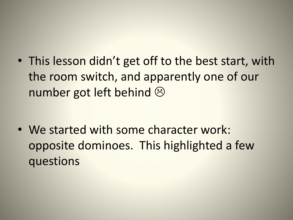• This lesson didn't get off to the best start, with the room switch, and apparently one of our number got left behind  $\odot$ 

• We started with some character work: opposite dominoes. This highlighted a few questions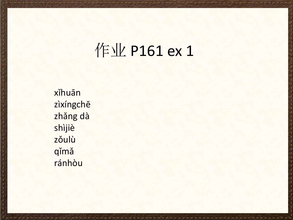### 作业 P161 ex 1

xǐhuān zìxíngchē zhǎng dà shìjiè zǒulù qimă ránhòu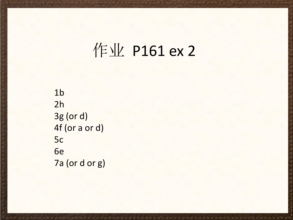### 作业 P161 ex 2

 $1<sub>b</sub>$  $2h$ 3g (or d) 4f (or a or d) 5c 6e 7a (or d or g)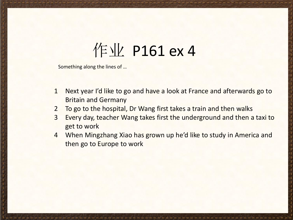### 作业 P161 ex 4

Something along the lines of …

- 1 Next year I'd like to go and have a look at France and afterwards go to Britain and Germany
- 2 To go to the hospital, Dr Wang first takes a train and then walks
- 3 Every day, teacher Wang takes first the underground and then a taxi to get to work
- 4 When Mingzhang Xiao has grown up he'd like to study in America and then go to Europe to work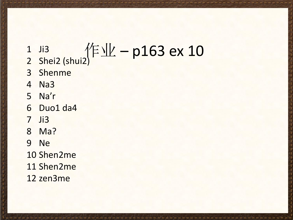# $\frac{1}{2}$  Ji3<br>2 Shei2 (shui2)  $\sqrt{2}$  TV - p163 ex 10

- 
- 3 Shenme
- 4 Na3
- 5 Na'r
- 6 Duo1 da4
- 7 Ji3
- 8 Ma?
- 9 Ne
- 10 Shen2me
- 11 Shen2me
- 12 zen3me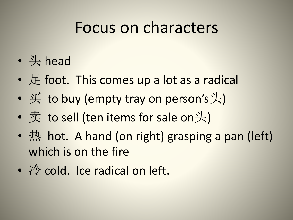#### Focus on characters

- 头 head
- $E$  foot. This comes up a lot as a radical
- $\overline{\mathcal{F}}$  to buy (empty tray on person's $\overline{\mathcal{F}}$ )
- 卖 to sell (ten items for sale on头)
- 热 hot. A hand (on right) grasping a pan (left) which is on the fire
- 冷 cold. Ice radical on left.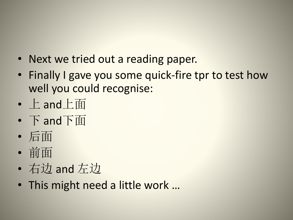- Next we tried out a reading paper.
- Finally I gave you some quick-fire tpr to test how well you could recognise:
- 上 and上面
- 下 and下面
- 后面
- 前面
- 右边 and 左边
- This might need a little work …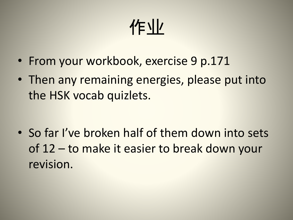## 作业

- From your workbook, exercise 9 p.171
- Then any remaining energies, please put into the HSK vocab quizlets.

• So far I've broken half of them down into sets of 12 – to make it easier to break down your revision.